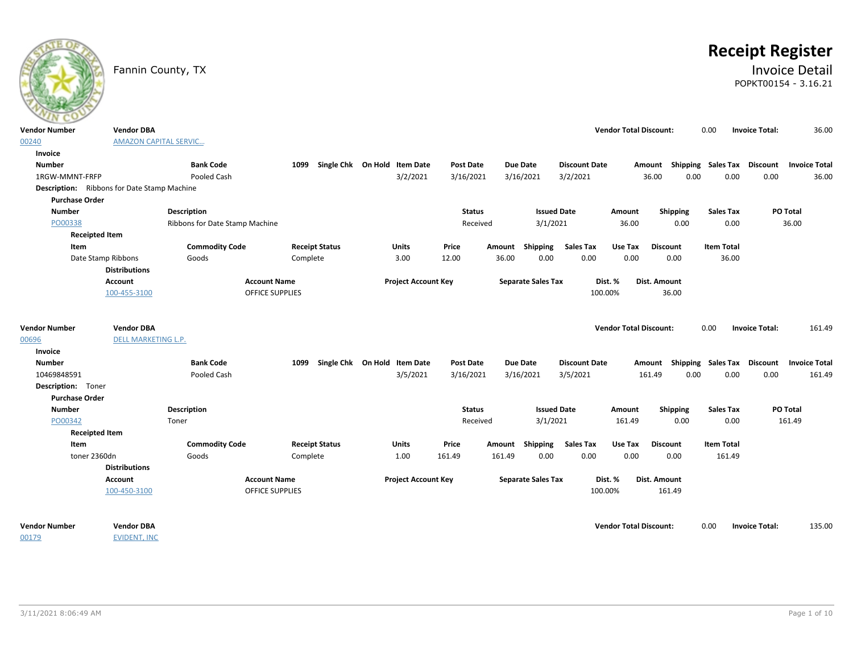|                                                    | Fannin County, TX                        |                                |                        |                              |                  |        |                           |                      |                               |                    |                    | <b>Receipt Register</b><br>POPKT00154 - 3.16.21 | <b>Invoice Detail</b> |
|----------------------------------------------------|------------------------------------------|--------------------------------|------------------------|------------------------------|------------------|--------|---------------------------|----------------------|-------------------------------|--------------------|--------------------|-------------------------------------------------|-----------------------|
| <b>Vendor Number</b>                               | <b>Vendor DBA</b>                        |                                |                        |                              |                  |        |                           |                      | <b>Vendor Total Discount:</b> |                    | 0.00               | <b>Invoice Total:</b>                           | 36.00                 |
| 00240                                              | <b>AMAZON CAPITAL SERVIC</b>             |                                |                        |                              |                  |        |                           |                      |                               |                    |                    |                                                 |                       |
| Invoice                                            |                                          |                                |                        |                              |                  |        |                           |                      |                               |                    |                    |                                                 |                       |
| <b>Number</b>                                      |                                          | <b>Bank Code</b>               | 1099                   | Single Chk On Hold Item Date | <b>Post Date</b> |        | Due Date                  | <b>Discount Date</b> |                               | Amount             | Shipping Sales Tax | Discount                                        | <b>Invoice Total</b>  |
| 1RGW-MMNT-FRFP                                     |                                          | Pooled Cash                    |                        | 3/2/2021                     | 3/16/2021        |        | 3/16/2021                 | 3/2/2021             |                               | 36.00<br>0.00      | 0.00               | 0.00                                            | 36.00                 |
| <b>Description:</b> Ribbons for Date Stamp Machine |                                          |                                |                        |                              |                  |        |                           |                      |                               |                    |                    |                                                 |                       |
| <b>Purchase Order</b><br><b>Number</b>             |                                          | <b>Description</b>             |                        |                              | <b>Status</b>    |        | <b>Issued Date</b>        |                      | Amount                        | <b>Shipping</b>    | <b>Sales Tax</b>   | PO Total                                        |                       |
| PO00338                                            |                                          | Ribbons for Date Stamp Machine |                        |                              | Received         |        | 3/1/2021                  |                      | 36.00                         | 0.00               | 0.00               |                                                 | 36.00                 |
| <b>Receipted Item</b>                              |                                          |                                |                        |                              |                  |        |                           |                      |                               |                    |                    |                                                 |                       |
| Item                                               |                                          | <b>Commodity Code</b>          | <b>Receipt Status</b>  | Units                        | Price            |        | Amount Shipping           | <b>Sales Tax</b>     | Use Tax                       | <b>Discount</b>    | <b>Item Total</b>  |                                                 |                       |
| Date Stamp Ribbons                                 |                                          | Goods                          | Complete               | 3.00                         | 12.00            | 36.00  | 0.00                      | 0.00                 | 0.00                          | 0.00               | 36.00              |                                                 |                       |
|                                                    | <b>Distributions</b>                     |                                |                        |                              |                  |        |                           |                      |                               |                    |                    |                                                 |                       |
|                                                    | <b>Account</b>                           |                                | <b>Account Name</b>    | <b>Project Account Key</b>   |                  |        | <b>Separate Sales Tax</b> | Dist. %              |                               | Dist. Amount       |                    |                                                 |                       |
|                                                    | 100-455-3100                             |                                | <b>OFFICE SUPPLIES</b> |                              |                  |        |                           | 100.00%              |                               | 36.00              |                    |                                                 |                       |
|                                                    |                                          |                                |                        |                              |                  |        |                           |                      |                               |                    |                    |                                                 |                       |
| <b>Vendor Number</b>                               | <b>Vendor DBA</b>                        |                                |                        |                              |                  |        |                           |                      | <b>Vendor Total Discount:</b> |                    | 0.00               | <b>Invoice Total:</b>                           | 161.49                |
| 00696                                              | DELL MARKETING L.P.                      |                                |                        |                              |                  |        |                           |                      |                               |                    |                    |                                                 |                       |
| Invoice                                            |                                          |                                |                        |                              |                  |        |                           |                      |                               |                    |                    |                                                 |                       |
| <b>Number</b>                                      |                                          | <b>Bank Code</b>               | 1099                   | Single Chk On Hold Item Date | <b>Post Date</b> |        | <b>Due Date</b>           | <b>Discount Date</b> |                               | Shipping<br>Amount | <b>Sales Tax</b>   | <b>Discount</b>                                 | <b>Invoice Total</b>  |
| 10469848591                                        |                                          | Pooled Cash                    |                        | 3/5/2021                     | 3/16/2021        |        | 3/16/2021                 | 3/5/2021             |                               | 161.49<br>0.00     | 0.00               | 0.00                                            | 161.49                |
| Description: Toner                                 |                                          |                                |                        |                              |                  |        |                           |                      |                               |                    |                    |                                                 |                       |
| <b>Purchase Order</b>                              |                                          |                                |                        |                              |                  |        |                           |                      |                               |                    |                    |                                                 |                       |
| <b>Number</b>                                      |                                          | Description                    |                        |                              | <b>Status</b>    |        | <b>Issued Date</b>        |                      | Amount                        | <b>Shipping</b>    | <b>Sales Tax</b>   | PO Total                                        |                       |
| PO00342                                            |                                          | Toner                          |                        |                              | Received         |        | 3/1/2021                  |                      | 161.49                        | 0.00               | 0.00               | 161.49                                          |                       |
| <b>Receipted Item</b>                              |                                          |                                |                        |                              |                  |        |                           |                      |                               |                    |                    |                                                 |                       |
| Item                                               |                                          | <b>Commodity Code</b>          | <b>Receipt Status</b>  | <b>Units</b>                 | Price            | Amount | <b>Shipping</b>           | <b>Sales Tax</b>     | Use Tax                       | <b>Discount</b>    | <b>Item Total</b>  |                                                 |                       |
| toner 2360dn                                       |                                          | Goods                          | Complete               | 1.00                         | 161.49           | 161.49 | 0.00                      | 0.00                 | 0.00                          | 0.00               | 161.49             |                                                 |                       |
|                                                    | <b>Distributions</b>                     |                                |                        |                              |                  |        |                           |                      |                               |                    |                    |                                                 |                       |
|                                                    | Account                                  |                                | <b>Account Name</b>    | <b>Project Account Key</b>   |                  |        | <b>Separate Sales Tax</b> | Dist. %              |                               | Dist. Amount       |                    |                                                 |                       |
|                                                    | 100-450-3100                             |                                | <b>OFFICE SUPPLIES</b> |                              |                  |        |                           | 100.00%              |                               | 161.49             |                    |                                                 |                       |
|                                                    |                                          |                                |                        |                              |                  |        |                           |                      |                               |                    |                    |                                                 |                       |
| <b>Vendor Number</b><br>00179                      | <b>Vendor DBA</b><br><b>EVIDENT, INC</b> |                                |                        |                              |                  |        |                           |                      | <b>Vendor Total Discount:</b> |                    | 0.00               | <b>Invoice Total:</b>                           | 135.00                |
|                                                    |                                          |                                |                        |                              |                  |        |                           |                      |                               |                    |                    |                                                 |                       |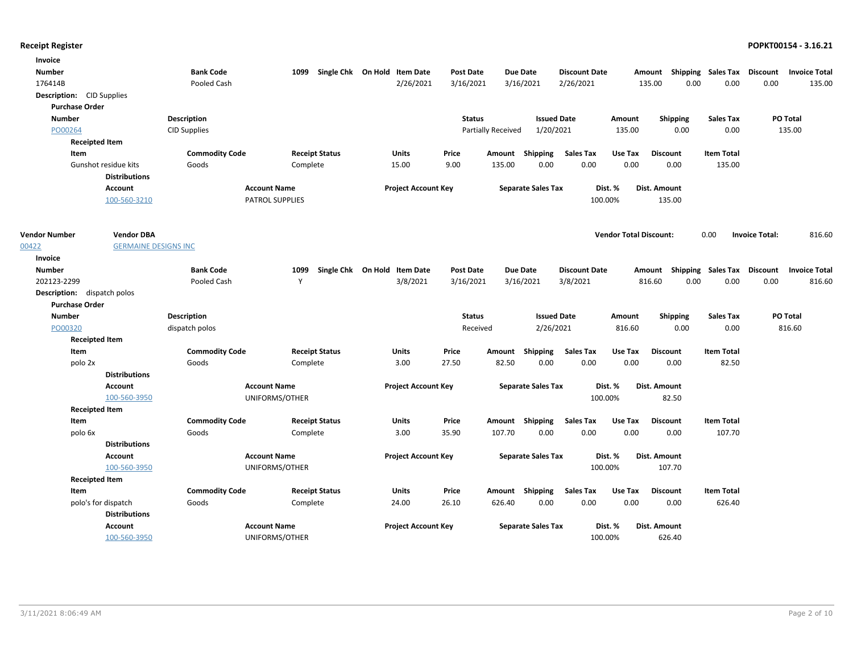| Invoice                            |                             |                       |                        |                                   |                            |                  |                    |                           |                      |                               |                     |                                    |                       |                      |
|------------------------------------|-----------------------------|-----------------------|------------------------|-----------------------------------|----------------------------|------------------|--------------------|---------------------------|----------------------|-------------------------------|---------------------|------------------------------------|-----------------------|----------------------|
| <b>Number</b>                      |                             | <b>Bank Code</b>      |                        | 1099 Single Chk On Hold Item Date |                            | Post Date        |                    | <b>Due Date</b>           | <b>Discount Date</b> |                               |                     | Amount Shipping Sales Tax Discount |                       | <b>Invoice Total</b> |
| 176414B                            |                             | Pooled Cash           |                        |                                   | 2/26/2021                  | 3/16/2021        |                    | 3/16/2021                 | 2/26/2021            |                               | 135.00              | 0.00<br>0.00                       | 0.00                  | 135.00               |
| <b>Description:</b> CID Supplies   |                             |                       |                        |                                   |                            |                  |                    |                           |                      |                               |                     |                                    |                       |                      |
| <b>Purchase Order</b>              |                             |                       |                        |                                   |                            |                  |                    |                           |                      |                               |                     |                                    |                       |                      |
| <b>Number</b>                      |                             | <b>Description</b>    |                        |                                   |                            | <b>Status</b>    |                    | <b>Issued Date</b>        |                      | Amount                        | <b>Shipping</b>     | <b>Sales Tax</b>                   |                       | PO Total             |
| PO00264                            |                             | <b>CID Supplies</b>   |                        |                                   |                            |                  | Partially Received | 1/20/2021                 |                      | 135.00                        | 0.00                | 0.00                               |                       | 135.00               |
| <b>Receipted Item</b>              |                             |                       |                        |                                   |                            |                  |                    |                           |                      |                               |                     |                                    |                       |                      |
| Item                               |                             | <b>Commodity Code</b> |                        | <b>Receipt Status</b>             | Units                      | Price            |                    | Amount Shipping           | <b>Sales Tax</b>     | Use Tax                       | <b>Discount</b>     | <b>Item Total</b>                  |                       |                      |
|                                    | Gunshot residue kits        | Goods                 | Complete               |                                   | 15.00                      | 9.00             | 135.00             | 0.00                      | 0.00                 | 0.00                          | 0.00                | 135.00                             |                       |                      |
|                                    | <b>Distributions</b>        |                       |                        |                                   |                            |                  |                    |                           |                      |                               |                     |                                    |                       |                      |
|                                    | <b>Account</b>              |                       | <b>Account Name</b>    |                                   | <b>Project Account Key</b> |                  |                    | <b>Separate Sales Tax</b> |                      | Dist. %                       | <b>Dist. Amount</b> |                                    |                       |                      |
|                                    | 100-560-3210                |                       | <b>PATROL SUPPLIES</b> |                                   |                            |                  |                    |                           |                      | 100.00%                       | 135.00              |                                    |                       |                      |
|                                    |                             |                       |                        |                                   |                            |                  |                    |                           |                      |                               |                     |                                    |                       |                      |
| <b>Vendor Number</b>               | <b>Vendor DBA</b>           |                       |                        |                                   |                            |                  |                    |                           |                      | <b>Vendor Total Discount:</b> |                     | 0.00                               | <b>Invoice Total:</b> | 816.60               |
| 00422                              | <b>GERMAINE DESIGNS INC</b> |                       |                        |                                   |                            |                  |                    |                           |                      |                               |                     |                                    |                       |                      |
| Invoice                            |                             |                       |                        |                                   |                            |                  |                    |                           |                      |                               |                     |                                    |                       |                      |
| <b>Number</b>                      |                             | <b>Bank Code</b>      | 1099                   | Single Chk On Hold Item Date      |                            | <b>Post Date</b> |                    | <b>Due Date</b>           | <b>Discount Date</b> |                               |                     | Amount Shipping Sales Tax Discount |                       | <b>Invoice Total</b> |
| 202123-2299                        |                             | Pooled Cash           | Y                      |                                   | 3/8/2021                   | 3/16/2021        |                    | 3/16/2021                 | 3/8/2021             |                               | 816.60              | 0.00<br>0.00                       | 0.00                  | 816.60               |
| <b>Description:</b> dispatch polos |                             |                       |                        |                                   |                            |                  |                    |                           |                      |                               |                     |                                    |                       |                      |
| <b>Purchase Order</b>              |                             |                       |                        |                                   |                            |                  |                    |                           |                      |                               |                     |                                    |                       |                      |
| <b>Number</b>                      |                             | <b>Description</b>    |                        |                                   |                            | <b>Status</b>    |                    | <b>Issued Date</b>        |                      | Amount                        | Shipping            | <b>Sales Tax</b>                   |                       | PO Total             |
| PO00320                            |                             | dispatch polos        |                        |                                   |                            | Received         |                    | 2/26/2021                 |                      | 816.60                        | 0.00                | 0.00                               |                       | 816.60               |
| <b>Receipted Item</b>              |                             |                       |                        |                                   |                            |                  |                    |                           |                      |                               |                     |                                    |                       |                      |
| Item                               |                             | <b>Commodity Code</b> |                        | <b>Receipt Status</b>             | Units                      | Price            |                    | Amount Shipping           | <b>Sales Tax</b>     | Use Tax                       | <b>Discount</b>     | <b>Item Total</b>                  |                       |                      |
| polo 2x                            |                             | Goods                 | Complete               |                                   | 3.00                       | 27.50            | 82.50              | 0.00                      | 0.00                 | 0.00                          | 0.00                | 82.50                              |                       |                      |
|                                    | <b>Distributions</b>        |                       |                        |                                   |                            |                  |                    |                           |                      |                               |                     |                                    |                       |                      |
|                                    | <b>Account</b>              |                       | <b>Account Name</b>    |                                   | <b>Project Account Key</b> |                  |                    | <b>Separate Sales Tax</b> |                      | Dist. %                       | Dist. Amount        |                                    |                       |                      |
|                                    | 100-560-3950                |                       | UNIFORMS/OTHER         |                                   |                            |                  |                    |                           |                      | 100.00%                       | 82.50               |                                    |                       |                      |
| <b>Receipted Item</b>              |                             |                       |                        |                                   |                            |                  |                    |                           |                      |                               |                     |                                    |                       |                      |
| Item                               |                             | <b>Commodity Code</b> |                        | <b>Receipt Status</b>             | Units                      | Price            |                    | Amount Shipping           | <b>Sales Tax</b>     | Use Tax                       | <b>Discount</b>     | <b>Item Total</b>                  |                       |                      |
| polo 6x                            |                             | Goods                 | Complete               |                                   | 3.00                       | 35.90            | 107.70             | 0.00                      | 0.00                 | 0.00                          | 0.00                | 107.70                             |                       |                      |
|                                    | <b>Distributions</b>        |                       |                        |                                   |                            |                  |                    |                           |                      |                               |                     |                                    |                       |                      |
|                                    | <b>Account</b>              |                       | <b>Account Name</b>    |                                   | <b>Project Account Key</b> |                  |                    | <b>Separate Sales Tax</b> |                      | Dist. %                       | Dist. Amount        |                                    |                       |                      |
|                                    | 100-560-3950                |                       | UNIFORMS/OTHER         |                                   |                            |                  |                    |                           |                      | 100.00%                       | 107.70              |                                    |                       |                      |
| <b>Receipted Item</b>              |                             |                       |                        |                                   |                            |                  |                    |                           |                      |                               |                     |                                    |                       |                      |
| Item                               |                             | <b>Commodity Code</b> |                        | <b>Receipt Status</b>             | Units                      | Price            |                    | Amount Shipping           | <b>Sales Tax</b>     | Use Tax                       | <b>Discount</b>     | <b>Item Total</b>                  |                       |                      |
|                                    | polo's for dispatch         | Goods                 | Complete               |                                   | 24.00                      | 26.10            | 626.40             | 0.00                      | 0.00                 | 0.00                          | 0.00                | 626.40                             |                       |                      |
|                                    | <b>Distributions</b>        |                       |                        |                                   |                            |                  |                    |                           |                      |                               |                     |                                    |                       |                      |
|                                    | <b>Account</b>              |                       | <b>Account Name</b>    |                                   | <b>Project Account Key</b> |                  |                    | <b>Separate Sales Tax</b> |                      | Dist. %                       | Dist. Amount        |                                    |                       |                      |
|                                    | 100-560-3950                |                       | UNIFORMS/OTHER         |                                   |                            |                  |                    |                           |                      | 100.00%                       | 626.40              |                                    |                       |                      |
|                                    |                             |                       |                        |                                   |                            |                  |                    |                           |                      |                               |                     |                                    |                       |                      |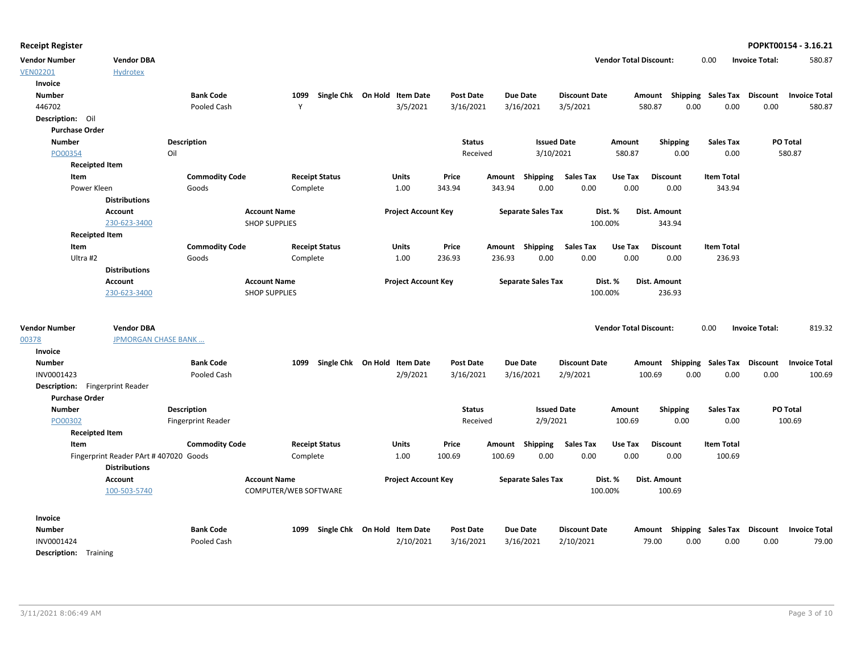| endor Total Discount:<br><b>Invoice Total:</b><br>580.87<br>0.00 |
|------------------------------------------------------------------|
|------------------------------------------------------------------|

| <b>Vendor Number</b>                     | <b>Vendor DBA</b>                                              |                           |                       |                       |                              |                  |                 |                           |                      | <b>Vendor Total Discount:</b> |                                    | 0.00                        | <b>Invoice Total:</b> | 580.87               |
|------------------------------------------|----------------------------------------------------------------|---------------------------|-----------------------|-----------------------|------------------------------|------------------|-----------------|---------------------------|----------------------|-------------------------------|------------------------------------|-----------------------------|-----------------------|----------------------|
| <b>VEN02201</b>                          | <b>Hydrotex</b>                                                |                           |                       |                       |                              |                  |                 |                           |                      |                               |                                    |                             |                       |                      |
| Invoice                                  |                                                                |                           |                       |                       |                              |                  |                 |                           |                      |                               |                                    |                             |                       |                      |
| <b>Number</b>                            |                                                                | <b>Bank Code</b>          | 1099                  |                       | Single Chk On Hold Item Date | Post Date        | <b>Due Date</b> |                           | <b>Discount Date</b> |                               | Amount Shipping Sales Tax Discount |                             |                       | <b>Invoice Total</b> |
| 446702                                   |                                                                | Pooled Cash               | Y                     |                       | 3/5/2021                     | 3/16/2021        | 3/16/2021       |                           | 3/5/2021             |                               | 580.87<br>0.00                     | 0.00                        | 0.00                  | 580.87               |
| Description: Oil                         |                                                                |                           |                       |                       |                              |                  |                 |                           |                      |                               |                                    |                             |                       |                      |
| <b>Purchase Order</b>                    |                                                                |                           |                       |                       |                              |                  |                 |                           |                      |                               |                                    |                             |                       |                      |
| Number                                   |                                                                | <b>Description</b>        |                       |                       |                              | <b>Status</b>    |                 | <b>Issued Date</b>        |                      | Amount                        | <b>Shipping</b>                    | <b>Sales Tax</b>            |                       | PO Total             |
| PO00354                                  |                                                                | Oil                       |                       |                       |                              | Received         |                 | 3/10/2021                 |                      | 580.87                        | 0.00                               | 0.00                        |                       | 580.87               |
| <b>Receipted Item</b>                    |                                                                |                           |                       |                       |                              |                  |                 |                           |                      |                               |                                    |                             |                       |                      |
| Item                                     |                                                                | <b>Commodity Code</b>     |                       | <b>Receipt Status</b> | <b>Units</b>                 | Price            | Amount Shipping |                           | <b>Sales Tax</b>     | Use Tax                       | <b>Discount</b>                    | <b>Item Total</b>           |                       |                      |
| Power Kleen                              |                                                                | Goods                     |                       | Complete              | 1.00                         | 343.94           | 343.94          | 0.00                      | 0.00                 | 0.00                          | 0.00                               | 343.94                      |                       |                      |
|                                          | <b>Distributions</b>                                           |                           |                       |                       |                              |                  |                 |                           |                      |                               |                                    |                             |                       |                      |
|                                          | <b>Account</b>                                                 |                           | <b>Account Name</b>   |                       | <b>Project Account Key</b>   |                  |                 | <b>Separate Sales Tax</b> |                      | Dist. %                       | Dist. Amount                       |                             |                       |                      |
|                                          | 230-623-3400                                                   |                           | <b>SHOP SUPPLIES</b>  |                       |                              |                  |                 |                           | 100.00%              |                               | 343.94                             |                             |                       |                      |
| <b>Receipted Item</b>                    |                                                                |                           |                       |                       |                              |                  |                 |                           |                      |                               |                                    |                             |                       |                      |
| Item                                     |                                                                | <b>Commodity Code</b>     |                       | <b>Receipt Status</b> | <b>Units</b>                 | Price            | Amount Shipping |                           | <b>Sales Tax</b>     | Use Tax                       | <b>Discount</b>                    | <b>Item Total</b>           |                       |                      |
| Ultra #2                                 |                                                                | Goods                     |                       | Complete              | 1.00                         | 236.93           | 236.93          | 0.00                      | 0.00                 | 0.00                          | 0.00                               | 236.93                      |                       |                      |
|                                          | <b>Distributions</b>                                           |                           |                       |                       |                              |                  |                 |                           |                      |                               |                                    |                             |                       |                      |
|                                          | <b>Account</b>                                                 |                           | <b>Account Name</b>   |                       | <b>Project Account Key</b>   |                  |                 | <b>Separate Sales Tax</b> |                      | Dist. %                       | Dist. Amount                       |                             |                       |                      |
|                                          | 230-623-3400                                                   |                           | <b>SHOP SUPPLIES</b>  |                       |                              |                  |                 |                           | 100.00%              |                               | 236.93                             |                             |                       |                      |
| <b>Vendor Number</b><br>00378<br>Invoice | <b>Vendor DBA</b><br><b>JPMORGAN CHASE BANK</b>                |                           |                       |                       |                              |                  |                 |                           |                      | <b>Vendor Total Discount:</b> |                                    | 0.00                        | <b>Invoice Total:</b> | 819.32               |
| <b>Number</b>                            |                                                                | <b>Bank Code</b>          | 1099                  |                       | Single Chk On Hold Item Date | <b>Post Date</b> | <b>Due Date</b> |                           | <b>Discount Date</b> |                               | Amount                             | <b>Shipping Sales Tax</b>   | Discount              | <b>Invoice Total</b> |
| INV0001423                               |                                                                | Pooled Cash               |                       |                       | 2/9/2021                     | 3/16/2021        | 3/16/2021       |                           | 2/9/2021             |                               | 0.00<br>100.69                     | 0.00                        | 0.00                  | 100.69               |
| <b>Description:</b> Fingerprint Reader   |                                                                |                           |                       |                       |                              |                  |                 |                           |                      |                               |                                    |                             |                       |                      |
| <b>Purchase Order</b>                    |                                                                |                           |                       |                       |                              |                  |                 |                           |                      |                               |                                    |                             |                       |                      |
| <b>Number</b>                            |                                                                | <b>Description</b>        |                       |                       |                              | <b>Status</b>    |                 | <b>Issued Date</b>        |                      | Amount                        | <b>Shipping</b>                    | <b>Sales Tax</b>            |                       | PO Total             |
| PO00302                                  |                                                                | <b>Fingerprint Reader</b> |                       |                       |                              | Received         |                 | 2/9/2021                  |                      | 100.69                        | 0.00                               | 0.00                        |                       | 100.69               |
| <b>Receipted Item</b>                    |                                                                |                           |                       |                       |                              |                  |                 |                           |                      |                               |                                    |                             |                       |                      |
| Item                                     |                                                                | <b>Commodity Code</b>     |                       | <b>Receipt Status</b> | <b>Units</b>                 | Price            | Amount          | Shipping                  | <b>Sales Tax</b>     | Use Tax                       | <b>Discount</b>                    | <b>Item Total</b>           |                       |                      |
|                                          | Fingerprint Reader PArt # 407020 Goods<br><b>Distributions</b> |                           |                       | Complete              | 1.00                         | 100.69           | 100.69          | 0.00                      | 0.00                 | 0.00                          | 0.00                               | 100.69                      |                       |                      |
|                                          | <b>Account</b>                                                 |                           | <b>Account Name</b>   |                       | <b>Project Account Key</b>   |                  |                 | <b>Separate Sales Tax</b> |                      | Dist. %                       | Dist. Amount                       |                             |                       |                      |
|                                          | 100-503-5740                                                   |                           | COMPUTER/WEB SOFTWARE |                       |                              |                  |                 |                           | 100.00%              |                               | 100.69                             |                             |                       |                      |
| Invoice                                  |                                                                |                           |                       |                       |                              |                  |                 |                           |                      |                               |                                    |                             |                       |                      |
| <b>Number</b>                            |                                                                | <b>Bank Code</b>          | 1099                  |                       | Single Chk On Hold Item Date | <b>Post Date</b> | <b>Due Date</b> |                           | <b>Discount Date</b> |                               | Amount                             | Shipping Sales Tax Discount |                       | <b>Invoice Total</b> |
| INV0001424                               |                                                                | Pooled Cash               |                       |                       | 2/10/2021                    | 3/16/2021        | 3/16/2021       |                           | 2/10/2021            |                               | 0.00<br>79.00                      | 0.00                        | 0.00                  | 79.00                |
| <b>Description:</b> Training             |                                                                |                           |                       |                       |                              |                  |                 |                           |                      |                               |                                    |                             |                       |                      |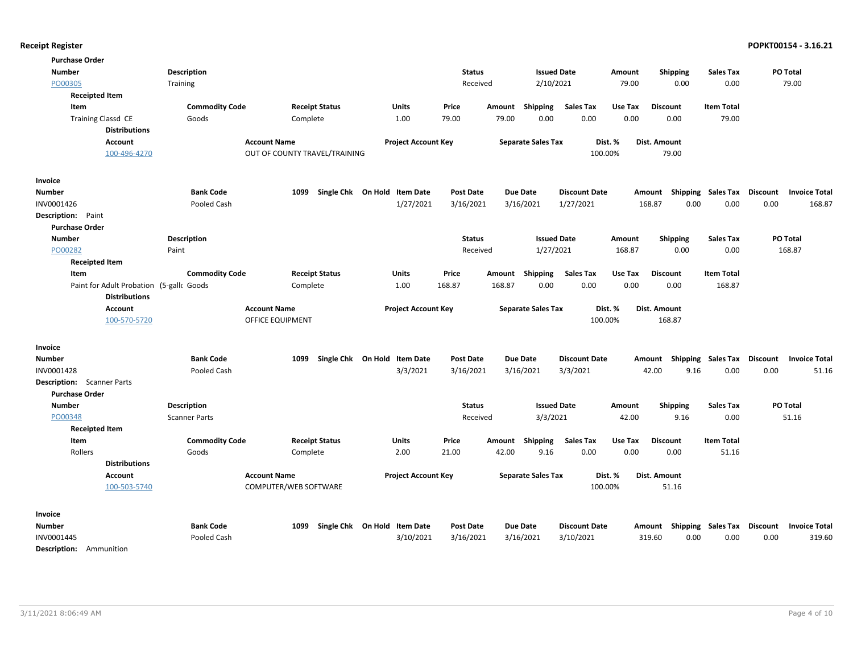| <b>Purchase Order</b>                    |                       |                               |                                   |                  |        |                           |                      |         |                                    |                    |          |                      |
|------------------------------------------|-----------------------|-------------------------------|-----------------------------------|------------------|--------|---------------------------|----------------------|---------|------------------------------------|--------------------|----------|----------------------|
| <b>Number</b>                            | <b>Description</b>    |                               |                                   | <b>Status</b>    |        | <b>Issued Date</b>        |                      | Amount  | <b>Shipping</b>                    | Sales Tax          | PO Total |                      |
| PO00305                                  | Training              |                               |                                   | Received         |        | 2/10/2021                 |                      | 79.00   | 0.00                               | 0.00               | 79.00    |                      |
| <b>Receipted Item</b>                    |                       |                               |                                   |                  |        |                           |                      |         |                                    |                    |          |                      |
| Item                                     | <b>Commodity Code</b> | <b>Receipt Status</b>         | Units                             | Price            | Amount | Shipping                  | Sales Tax            | Use Tax | <b>Discount</b>                    | <b>Item Total</b>  |          |                      |
| <b>Training Classd CE</b>                | Goods                 | Complete                      | 1.00                              | 79.00            | 79.00  | 0.00                      | 0.00                 | 0.00    | 0.00                               | 79.00              |          |                      |
| <b>Distributions</b>                     |                       |                               |                                   |                  |        |                           |                      |         |                                    |                    |          |                      |
| Account                                  | <b>Account Name</b>   |                               | <b>Project Account Key</b>        |                  |        | <b>Separate Sales Tax</b> |                      | Dist. % | Dist. Amount                       |                    |          |                      |
| 100-496-4270                             |                       | OUT OF COUNTY TRAVEL/TRAINING |                                   |                  |        |                           | 100.00%              |         | 79.00                              |                    |          |                      |
| Invoice                                  |                       |                               |                                   |                  |        |                           |                      |         |                                    |                    |          |                      |
| Number                                   | <b>Bank Code</b>      | Single Chk On Hold<br>1099    | <b>Item Date</b>                  | <b>Post Date</b> |        | Due Date                  | <b>Discount Date</b> |         | Amount                             | Shipping Sales Tax | Discount | <b>Invoice Total</b> |
| INV0001426                               | Pooled Cash           |                               | 1/27/2021                         | 3/16/2021        |        | 3/16/2021                 | 1/27/2021            |         | 168.87<br>0.00                     | 0.00               | 0.00     | 168.87               |
| Description: Paint                       |                       |                               |                                   |                  |        |                           |                      |         |                                    |                    |          |                      |
| <b>Purchase Order</b>                    |                       |                               |                                   |                  |        |                           |                      |         |                                    |                    |          |                      |
| <b>Number</b>                            | Description           |                               |                                   | <b>Status</b>    |        | <b>Issued Date</b>        |                      | Amount  | Shipping                           | <b>Sales Tax</b>   | PO Total |                      |
| PO00282                                  | Paint                 |                               |                                   | Received         |        | 1/27/2021                 |                      | 168.87  | 0.00                               | 0.00               | 168.87   |                      |
| <b>Receipted Item</b>                    |                       |                               |                                   |                  |        |                           |                      |         |                                    |                    |          |                      |
| Item                                     | <b>Commodity Code</b> | <b>Receipt Status</b>         | Units                             | Price            | Amount | Shipping                  | <b>Sales Tax</b>     | Use Tax | <b>Discount</b>                    | <b>Item Total</b>  |          |                      |
| Paint for Adult Probation (5-gallc Goods |                       | Complete                      | 1.00                              | 168.87           | 168.87 | 0.00                      | 0.00                 | 0.00    | 0.00                               | 168.87             |          |                      |
| <b>Distributions</b>                     |                       |                               |                                   |                  |        |                           |                      |         |                                    |                    |          |                      |
| <b>Account</b>                           |                       | <b>Account Name</b>           | <b>Project Account Key</b>        |                  |        | <b>Separate Sales Tax</b> |                      | Dist. % | Dist. Amount                       |                    |          |                      |
| 100-570-5720                             |                       | OFFICE EQUIPMENT              |                                   |                  |        |                           | 100.00%              |         | 168.87                             |                    |          |                      |
| Invoice                                  |                       |                               |                                   |                  |        |                           |                      |         |                                    |                    |          |                      |
| Number                                   | <b>Bank Code</b>      | 1099                          | Single Chk On Hold Item Date      | <b>Post Date</b> |        | <b>Due Date</b>           | <b>Discount Date</b> |         | Amount Shipping Sales Tax          |                    | Discount | <b>Invoice Total</b> |
| INV0001428                               | Pooled Cash           |                               | 3/3/2021                          | 3/16/2021        |        | 3/16/2021                 | 3/3/2021             |         | 42.00<br>9.16                      | 0.00               | 0.00     | 51.16                |
| <b>Description:</b> Scanner Parts        |                       |                               |                                   |                  |        |                           |                      |         |                                    |                    |          |                      |
| <b>Purchase Order</b>                    |                       |                               |                                   |                  |        |                           |                      |         |                                    |                    |          |                      |
| <b>Number</b>                            | Description           |                               |                                   | <b>Status</b>    |        | <b>Issued Date</b>        |                      | Amount  | <b>Shipping</b>                    | <b>Sales Tax</b>   | PO Total |                      |
| PO00348                                  | <b>Scanner Parts</b>  |                               |                                   | Received         |        | 3/3/2021                  |                      | 42.00   | 9.16                               | 0.00               | 51.16    |                      |
| <b>Receipted Item</b>                    |                       |                               |                                   |                  |        |                           |                      |         |                                    |                    |          |                      |
| Item                                     | <b>Commodity Code</b> | <b>Receipt Status</b>         | Units                             | Price            | Amount | Shipping                  | <b>Sales Tax</b>     | Use Tax | <b>Discount</b>                    | <b>Item Total</b>  |          |                      |
| Rollers                                  | Goods                 | Complete                      | 2.00                              | 21.00            | 42.00  | 9.16                      | 0.00                 | 0.00    | 0.00                               | 51.16              |          |                      |
| <b>Distributions</b>                     |                       |                               |                                   |                  |        |                           |                      |         |                                    |                    |          |                      |
| <b>Account</b>                           |                       | <b>Account Name</b>           | <b>Project Account Key</b>        |                  |        | <b>Separate Sales Tax</b> |                      | Dist. % | Dist. Amount                       |                    |          |                      |
| 100-503-5740                             |                       | COMPUTER/WEB SOFTWARE         |                                   |                  |        |                           | 100.00%              |         | 51.16                              |                    |          |                      |
| Invoice                                  |                       |                               |                                   |                  |        |                           |                      |         |                                    |                    |          |                      |
| <b>Number</b>                            | <b>Bank Code</b>      |                               | 1099 Single Chk On Hold Item Date | <b>Post Date</b> |        | Due Date                  | <b>Discount Date</b> |         | Amount Shipping Sales Tax Discount |                    |          | <b>Invoice Total</b> |
| INV0001445                               | Pooled Cash           |                               | 3/10/2021                         | 3/16/2021        |        | 3/16/2021                 | 3/10/2021            |         | 0.00<br>319.60                     | 0.00               | 0.00     | 319.60               |
| Description: Ammunition                  |                       |                               |                                   |                  |        |                           |                      |         |                                    |                    |          |                      |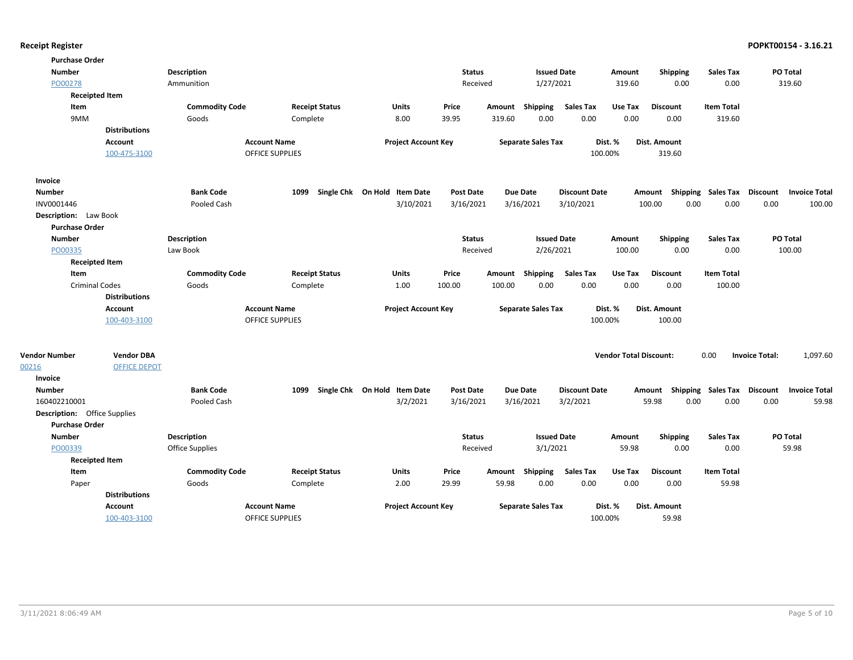| <b>Purchase Order</b>               |                      |                       |                        |                                          |                               |        |                           |                                  |                               |                                    |                            |                                                          |
|-------------------------------------|----------------------|-----------------------|------------------------|------------------------------------------|-------------------------------|--------|---------------------------|----------------------------------|-------------------------------|------------------------------------|----------------------------|----------------------------------------------------------|
| <b>Number</b>                       |                      | Description           |                        |                                          | <b>Status</b>                 |        | <b>Issued Date</b>        |                                  | Amount                        | Shipping                           | <b>Sales Tax</b>           | PO Total                                                 |
| PO00278                             |                      | Ammunition            |                        |                                          | Received                      |        | 1/27/2021                 |                                  | 319.60                        | 0.00                               | 0.00                       | 319.60                                                   |
| <b>Receipted Item</b>               |                      |                       |                        |                                          |                               |        |                           |                                  |                               |                                    |                            |                                                          |
| Item                                |                      | <b>Commodity Code</b> | <b>Receipt Status</b>  | Units                                    | Price                         | Amount | <b>Shipping</b>           | <b>Sales Tax</b>                 | Use Tax                       | <b>Discount</b>                    | <b>Item Total</b>          |                                                          |
| 9MM                                 |                      | Goods                 | Complete               | 8.00                                     | 39.95                         | 319.60 | 0.00                      | 0.00                             | 0.00                          | 0.00                               | 319.60                     |                                                          |
|                                     | <b>Distributions</b> |                       |                        |                                          |                               |        |                           |                                  |                               |                                    |                            |                                                          |
|                                     | Account              |                       | <b>Account Name</b>    | <b>Project Account Key</b>               |                               |        | <b>Separate Sales Tax</b> |                                  | Dist. %                       | Dist. Amount                       |                            |                                                          |
|                                     | 100-475-3100         |                       | <b>OFFICE SUPPLIES</b> |                                          |                               |        |                           |                                  | 100.00%                       | 319.60                             |                            |                                                          |
| Invoice                             |                      |                       |                        |                                          |                               |        |                           |                                  |                               |                                    |                            |                                                          |
| <b>Number</b>                       |                      | <b>Bank Code</b>      | 1099                   | Single Chk On Hold Item Date             | <b>Post Date</b>              |        | Due Date                  | <b>Discount Date</b>             |                               | Amount Shipping Sales Tax Discount |                            | <b>Invoice Total</b>                                     |
| INV0001446                          |                      | Pooled Cash           |                        | 3/10/2021                                | 3/16/2021                     |        | 3/16/2021                 | 3/10/2021                        |                               | 0.00<br>100.00                     | 0.00                       | 0.00<br>100.00                                           |
| <b>Description:</b> Law Book        |                      |                       |                        |                                          |                               |        |                           |                                  |                               |                                    |                            |                                                          |
| <b>Purchase Order</b>               |                      |                       |                        |                                          |                               |        |                           |                                  |                               |                                    |                            |                                                          |
| <b>Number</b>                       |                      | <b>Description</b>    |                        |                                          | <b>Status</b>                 |        | <b>Issued Date</b>        |                                  | Amount                        | Shipping                           | <b>Sales Tax</b>           | PO Total                                                 |
| PO00335                             |                      | Law Book              |                        |                                          | Received                      |        | 2/26/2021                 |                                  | 100.00                        | 0.00                               | 0.00                       | 100.00                                                   |
| <b>Receipted Item</b>               |                      |                       |                        |                                          |                               |        |                           |                                  |                               |                                    |                            |                                                          |
| Item                                |                      | <b>Commodity Code</b> | <b>Receipt Status</b>  | Units                                    | Price                         | Amount | <b>Shipping</b>           | <b>Sales Tax</b>                 | Use Tax                       | <b>Discount</b>                    | <b>Item Total</b>          |                                                          |
| <b>Criminal Codes</b>               |                      | Goods                 | Complete               | 1.00                                     | 100.00                        | 100.00 | 0.00                      | 0.00                             | 0.00                          | 0.00                               | 100.00                     |                                                          |
|                                     | <b>Distributions</b> |                       |                        |                                          |                               |        |                           |                                  |                               |                                    |                            |                                                          |
|                                     | Account              |                       | <b>Account Name</b>    | <b>Project Account Key</b>               |                               |        | <b>Separate Sales Tax</b> |                                  | Dist. %                       | Dist. Amount                       |                            |                                                          |
|                                     | 100-403-3100         |                       | <b>OFFICE SUPPLIES</b> |                                          |                               |        |                           |                                  | 100.00%                       | 100.00                             |                            |                                                          |
|                                     |                      |                       |                        |                                          |                               |        |                           |                                  |                               |                                    |                            |                                                          |
| <b>Vendor Number</b>                | <b>Vendor DBA</b>    |                       |                        |                                          |                               |        |                           |                                  | <b>Vendor Total Discount:</b> |                                    | 0.00                       | <b>Invoice Total:</b><br>1,097.60                        |
| 00216                               | <b>OFFICE DEPOT</b>  |                       |                        |                                          |                               |        |                           |                                  |                               |                                    |                            |                                                          |
| <b>Invoice</b>                      |                      | <b>Bank Code</b>      | 1099                   |                                          |                               |        | Due Date                  |                                  |                               |                                    |                            |                                                          |
| <b>Number</b><br>160402210001       |                      | Pooled Cash           |                        | Single Chk On Hold Item Date<br>3/2/2021 | <b>Post Date</b><br>3/16/2021 |        | 3/16/2021                 | <b>Discount Date</b><br>3/2/2021 |                               | Amount<br>0.00<br>59.98            | Shipping Sales Tax<br>0.00 | <b>Discount</b><br><b>Invoice Total</b><br>0.00<br>59.98 |
| <b>Description:</b> Office Supplies |                      |                       |                        |                                          |                               |        |                           |                                  |                               |                                    |                            |                                                          |
| <b>Purchase Order</b>               |                      |                       |                        |                                          |                               |        |                           |                                  |                               |                                    |                            |                                                          |
| <b>Number</b>                       |                      | <b>Description</b>    |                        |                                          | <b>Status</b>                 |        | <b>Issued Date</b>        |                                  | Amount                        | Shipping                           | <b>Sales Tax</b>           | PO Total                                                 |
| PO00339                             |                      | Office Supplies       |                        |                                          | Received                      |        | 3/1/2021                  |                                  | 59.98                         | 0.00                               | 0.00                       | 59.98                                                    |
| <b>Receipted Item</b>               |                      |                       |                        |                                          |                               |        |                           |                                  |                               |                                    |                            |                                                          |
| Item                                |                      | <b>Commodity Code</b> | <b>Receipt Status</b>  | Units                                    | Price                         | Amount | Shipping                  | <b>Sales Tax</b>                 | Use Tax                       | <b>Discount</b>                    | <b>Item Total</b>          |                                                          |
| Paper                               |                      | Goods                 | Complete               | 2.00                                     | 29.99                         | 59.98  | 0.00                      | 0.00                             | 0.00                          | 0.00                               | 59.98                      |                                                          |
|                                     | <b>Distributions</b> |                       |                        |                                          |                               |        |                           |                                  |                               |                                    |                            |                                                          |
|                                     | <b>Account</b>       |                       | <b>Account Name</b>    | <b>Project Account Key</b>               |                               |        | <b>Separate Sales Tax</b> |                                  | Dist. %                       | Dist. Amount                       |                            |                                                          |
|                                     | 100-403-3100         |                       | <b>OFFICE SUPPLIES</b> |                                          |                               |        |                           |                                  | 100.00%                       | 59.98                              |                            |                                                          |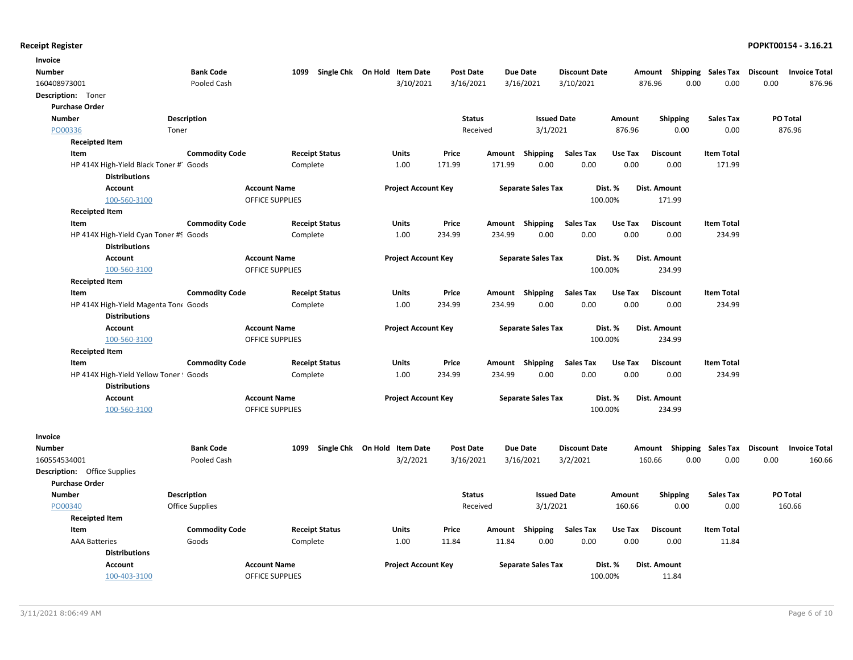| Invoice                                |                       |                                               |                              |                  |        |                           |                      |         |                           |                   |          |                      |
|----------------------------------------|-----------------------|-----------------------------------------------|------------------------------|------------------|--------|---------------------------|----------------------|---------|---------------------------|-------------------|----------|----------------------|
| <b>Number</b>                          | <b>Bank Code</b>      | 1099                                          | Single Chk On Hold Item Date | <b>Post Date</b> |        | <b>Due Date</b>           | <b>Discount Date</b> |         | Amount Shipping Sales Tax |                   | Discount | <b>Invoice Total</b> |
| 160408973001                           | Pooled Cash           |                                               | 3/10/2021                    | 3/16/2021        |        | 3/16/2021                 | 3/10/2021            |         | 0.00<br>876.96            | 0.00              | 0.00     | 876.96               |
| Description: Toner                     |                       |                                               |                              |                  |        |                           |                      |         |                           |                   |          |                      |
| <b>Purchase Order</b>                  |                       |                                               |                              |                  |        |                           |                      |         |                           |                   |          |                      |
| <b>Number</b>                          | Description           |                                               |                              | <b>Status</b>    |        | <b>Issued Date</b>        |                      | Amount  | <b>Shipping</b>           | <b>Sales Tax</b>  |          | <b>PO Total</b>      |
| PO00336<br>Toner                       |                       |                                               |                              | Received         |        | 3/1/2021                  |                      | 876.96  | 0.00                      | 0.00              |          | 876.96               |
| <b>Receipted Item</b>                  |                       |                                               |                              |                  |        |                           |                      |         |                           |                   |          |                      |
| Item                                   | <b>Commodity Code</b> | <b>Receipt Status</b>                         | Units                        | Price            | Amount | Shipping                  | <b>Sales Tax</b>     | Use Tax | <b>Discount</b>           | <b>Item Total</b> |          |                      |
| HP 414X High-Yield Black Toner # Goods |                       | Complete                                      | 1.00                         | 171.99           | 171.99 | 0.00                      | 0.00                 | 0.00    | 0.00                      | 171.99            |          |                      |
| <b>Distributions</b>                   |                       |                                               |                              |                  |        |                           |                      |         |                           |                   |          |                      |
| Account                                |                       | <b>Account Name</b>                           | <b>Project Account Key</b>   |                  |        | <b>Separate Sales Tax</b> | Dist. %              |         | Dist. Amount              |                   |          |                      |
| 100-560-3100                           |                       | <b>OFFICE SUPPLIES</b>                        |                              |                  |        |                           | 100.00%              |         | 171.99                    |                   |          |                      |
| <b>Receipted Item</b>                  |                       |                                               |                              |                  |        |                           |                      |         |                           |                   |          |                      |
| Item                                   | <b>Commodity Code</b> | <b>Receipt Status</b>                         | Units                        | Price            |        | Amount Shipping           | <b>Sales Tax</b>     | Use Tax | <b>Discount</b>           | <b>Item Total</b> |          |                      |
| HP 414X High-Yield Cyan Toner #9 Goods |                       | Complete                                      | 1.00                         | 234.99           | 234.99 | 0.00                      | 0.00                 | 0.00    | 0.00                      | 234.99            |          |                      |
| <b>Distributions</b>                   |                       |                                               |                              |                  |        |                           |                      |         |                           |                   |          |                      |
| Account<br>100-560-3100                |                       | <b>Account Name</b><br><b>OFFICE SUPPLIES</b> | <b>Project Account Key</b>   |                  |        | <b>Separate Sales Tax</b> | Dist. %<br>100.00%   |         | Dist. Amount<br>234.99    |                   |          |                      |
| <b>Receipted Item</b>                  |                       |                                               |                              |                  |        |                           |                      |         |                           |                   |          |                      |
| Item                                   | <b>Commodity Code</b> | <b>Receipt Status</b>                         | Units                        | Price            |        | Amount Shipping           | <b>Sales Tax</b>     | Use Tax | <b>Discount</b>           | <b>Item Total</b> |          |                      |
| HP 414X High-Yield Magenta Ton( Goods  |                       | Complete                                      | 1.00                         | 234.99           | 234.99 | 0.00                      | 0.00                 | 0.00    | 0.00                      | 234.99            |          |                      |
| <b>Distributions</b>                   |                       |                                               |                              |                  |        |                           |                      |         |                           |                   |          |                      |
| Account                                |                       | <b>Account Name</b>                           | <b>Project Account Key</b>   |                  |        | <b>Separate Sales Tax</b> | Dist. %              |         | Dist. Amount              |                   |          |                      |
| 100-560-3100                           |                       | <b>OFFICE SUPPLIES</b>                        |                              |                  |        |                           | 100.00%              |         | 234.99                    |                   |          |                      |
| <b>Receipted Item</b>                  |                       |                                               |                              |                  |        |                           |                      |         |                           |                   |          |                      |
| Item                                   | <b>Commodity Code</b> | <b>Receipt Status</b>                         | Units                        | Price            | Amount | Shipping                  | <b>Sales Tax</b>     | Use Tax | <b>Discount</b>           | <b>Item Total</b> |          |                      |
| HP 414X High-Yield Yellow Toner! Goods |                       | Complete                                      | 1.00                         | 234.99           | 234.99 | 0.00                      | 0.00                 | 0.00    | 0.00                      | 234.99            |          |                      |
| <b>Distributions</b>                   |                       |                                               |                              |                  |        |                           |                      |         |                           |                   |          |                      |
| Account                                |                       | <b>Account Name</b>                           | <b>Project Account Key</b>   |                  |        | <b>Separate Sales Tax</b> | Dist. %              |         | Dist. Amount              |                   |          |                      |
| 100-560-3100                           |                       | <b>OFFICE SUPPLIES</b>                        |                              |                  |        |                           | 100.00%              |         | 234.99                    |                   |          |                      |
|                                        |                       |                                               |                              |                  |        |                           |                      |         |                           |                   |          |                      |
| Invoice                                |                       |                                               |                              |                  |        |                           |                      |         |                           |                   |          |                      |
| Number                                 | <b>Bank Code</b>      | 1099                                          | Single Chk On Hold Item Date | <b>Post Date</b> |        | <b>Due Date</b>           | <b>Discount Date</b> |         | Amount Shipping Sales Tax |                   | Discount | <b>Invoice Total</b> |
| 160554534001                           | Pooled Cash           |                                               | 3/2/2021                     | 3/16/2021        |        | 3/16/2021                 | 3/2/2021             |         | 160.66<br>0.00            | 0.00              | 0.00     | 160.66               |
| <b>Description:</b> Office Supplies    |                       |                                               |                              |                  |        |                           |                      |         |                           |                   |          |                      |
| <b>Purchase Order</b>                  |                       |                                               |                              |                  |        |                           |                      |         |                           |                   |          |                      |
| <b>Number</b>                          | <b>Description</b>    |                                               |                              | <b>Status</b>    |        | <b>Issued Date</b>        |                      | Amount  | Shipping                  | <b>Sales Tax</b>  |          | PO Total             |
| PO00340                                | Office Supplies       |                                               |                              | Received         |        | 3/1/2021                  |                      | 160.66  | 0.00                      | 0.00              |          | 160.66               |
| <b>Receipted Item</b>                  |                       |                                               |                              |                  |        |                           |                      |         |                           |                   |          |                      |
| Item                                   | <b>Commodity Code</b> | <b>Receipt Status</b>                         | <b>Units</b>                 | Price            | Amount | Shipping                  | <b>Sales Tax</b>     | Use Tax | <b>Discount</b>           | <b>Item Total</b> |          |                      |
| <b>AAA Batteries</b>                   | Goods                 | Complete                                      | 1.00                         | 11.84            | 11.84  | 0.00                      | 0.00                 | 0.00    | 0.00                      | 11.84             |          |                      |
| <b>Distributions</b>                   |                       |                                               |                              |                  |        |                           |                      |         |                           |                   |          |                      |
| Account                                |                       | <b>Account Name</b>                           | <b>Project Account Key</b>   |                  |        | <b>Separate Sales Tax</b> | Dist. %              |         | Dist. Amount              |                   |          |                      |
| 100-403-3100                           |                       | <b>OFFICE SUPPLIES</b>                        |                              |                  |        |                           | 100.00%              |         | 11.84                     |                   |          |                      |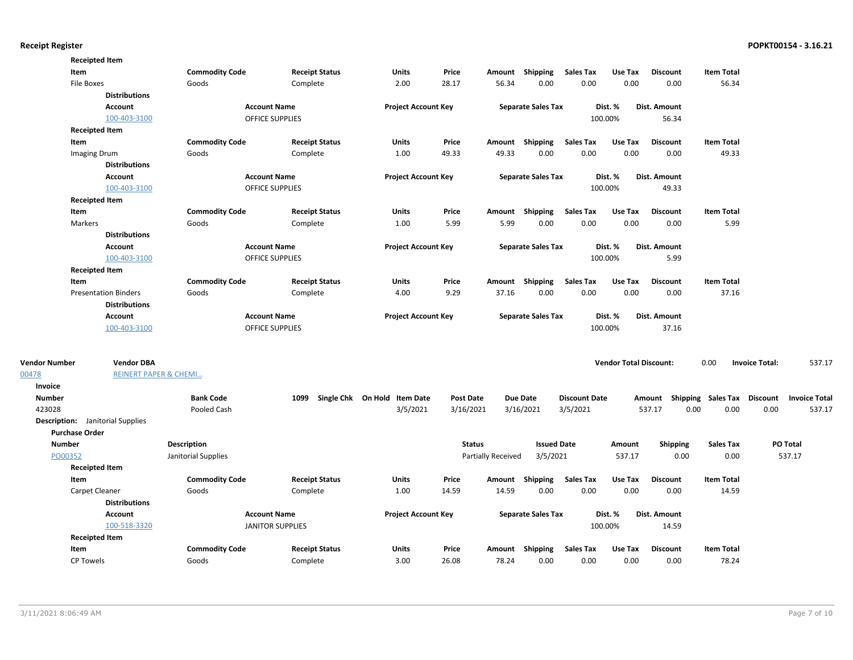|                                         | <b>Receipted Item</b>                                 |                       |                         |                       |                              |                  |                           |                           |                          |                               |                                    |                   |                       |                      |
|-----------------------------------------|-------------------------------------------------------|-----------------------|-------------------------|-----------------------|------------------------------|------------------|---------------------------|---------------------------|--------------------------|-------------------------------|------------------------------------|-------------------|-----------------------|----------------------|
| Item                                    |                                                       | <b>Commodity Code</b> |                         | <b>Receipt Status</b> | <b>Units</b>                 | Price            |                           | Amount Shipping           | <b>Sales Tax</b>         | Use Tax                       | <b>Discount</b>                    | <b>Item Total</b> |                       |                      |
| File Boxes                              |                                                       | Goods                 |                         | Complete              | 2.00                         | 28.17            | 56.34                     | 0.00                      | 0.00                     | 0.00                          | 0.00                               | 56.34             |                       |                      |
|                                         | <b>Distributions</b>                                  |                       |                         |                       |                              |                  |                           |                           |                          |                               |                                    |                   |                       |                      |
|                                         | Account                                               |                       | <b>Account Name</b>     |                       | <b>Project Account Key</b>   |                  |                           | <b>Separate Sales Tax</b> |                          | Dist. %                       | Dist. Amount                       |                   |                       |                      |
|                                         | 100-403-3100                                          |                       | <b>OFFICE SUPPLIES</b>  |                       |                              |                  |                           |                           |                          | 100.00%                       | 56.34                              |                   |                       |                      |
|                                         | <b>Receipted Item</b>                                 |                       |                         |                       |                              |                  |                           |                           |                          |                               |                                    |                   |                       |                      |
| Item                                    |                                                       | <b>Commodity Code</b> |                         | <b>Receipt Status</b> | <b>Units</b>                 | Price            |                           | Amount Shipping           | <b>Sales Tax</b>         | Use Tax                       | <b>Discount</b>                    | <b>Item Total</b> |                       |                      |
|                                         | Imaging Drum                                          | Goods                 |                         | Complete              | 1.00                         | 49.33            | 49.33                     | 0.00                      | 0.00                     | 0.00                          | 0.00                               | 49.33             |                       |                      |
|                                         | <b>Distributions</b>                                  |                       |                         |                       |                              |                  |                           |                           |                          |                               |                                    |                   |                       |                      |
|                                         | <b>Account</b>                                        |                       | <b>Account Name</b>     |                       | <b>Project Account Key</b>   |                  |                           | <b>Separate Sales Tax</b> |                          | Dist. %                       | <b>Dist. Amount</b>                |                   |                       |                      |
|                                         | 100-403-3100                                          |                       | <b>OFFICE SUPPLIES</b>  |                       |                              |                  |                           |                           |                          | 100.00%                       | 49.33                              |                   |                       |                      |
|                                         | <b>Receipted Item</b>                                 |                       |                         |                       |                              |                  |                           |                           |                          |                               |                                    |                   |                       |                      |
| Item                                    |                                                       | <b>Commodity Code</b> |                         | <b>Receipt Status</b> | Units                        | Price            |                           | Amount Shipping           | <b>Sales Tax</b>         | Use Tax                       | <b>Discount</b>                    | <b>Item Total</b> |                       |                      |
| Markers                                 |                                                       | Goods                 |                         | Complete              | 1.00                         | 5.99             | 5.99                      | 0.00                      | 0.00                     | 0.00                          | 0.00                               | 5.99              |                       |                      |
|                                         | <b>Distributions</b>                                  |                       |                         |                       |                              |                  |                           |                           |                          |                               |                                    |                   |                       |                      |
|                                         | Account                                               |                       | <b>Account Name</b>     |                       | <b>Project Account Key</b>   |                  |                           | <b>Separate Sales Tax</b> |                          | Dist. %                       | Dist. Amount                       |                   |                       |                      |
|                                         | 100-403-3100                                          |                       | OFFICE SUPPLIES         |                       |                              |                  |                           |                           |                          | 100.00%                       | 5.99                               |                   |                       |                      |
|                                         | <b>Receipted Item</b>                                 |                       |                         |                       |                              |                  |                           |                           |                          |                               |                                    |                   |                       |                      |
| Item                                    |                                                       | <b>Commodity Code</b> |                         | <b>Receipt Status</b> | Units                        | Price            |                           | Amount Shipping           | Sales Tax                | Use Tax                       | <b>Discount</b>                    | <b>Item Total</b> |                       |                      |
|                                         | <b>Presentation Binders</b>                           | Goods                 |                         | Complete              | 4.00                         | 9.29             | 37.16                     | 0.00                      | 0.00                     | 0.00                          | 0.00                               | 37.16             |                       |                      |
|                                         | <b>Distributions</b>                                  |                       |                         |                       |                              |                  |                           |                           |                          |                               |                                    |                   |                       |                      |
|                                         | Account                                               |                       | <b>Account Name</b>     |                       | <b>Project Account Key</b>   |                  |                           | <b>Separate Sales Tax</b> |                          | Dist. %                       | Dist. Amount                       |                   |                       |                      |
|                                         | 100-403-3100                                          |                       | <b>OFFICE SUPPLIES</b>  |                       |                              |                  |                           |                           |                          | 100.00%                       | 37.16                              |                   |                       |                      |
|                                         |                                                       |                       |                         |                       |                              |                  |                           |                           |                          |                               |                                    |                   |                       |                      |
| <b>Vendor Number</b><br>00478           | <b>Vendor DBA</b><br><b>REINERT PAPER &amp; CHEMI</b> |                       |                         |                       |                              |                  |                           |                           |                          | <b>Vendor Total Discount:</b> |                                    | 0.00              | <b>Invoice Total:</b> | 537.17               |
| Invoice                                 |                                                       |                       |                         |                       |                              |                  |                           |                           |                          |                               |                                    |                   |                       |                      |
| <b>Number</b>                           |                                                       | <b>Bank Code</b>      |                         | 1099                  | Single Chk On Hold Item Date | <b>Post Date</b> |                           | <b>Due Date</b>           | <b>Discount Date</b>     |                               | Amount Shipping Sales Tax Discount |                   |                       | <b>Invoice Total</b> |
| 423028                                  |                                                       | Pooled Cash           |                         |                       | 3/5/2021                     | 3/16/2021        |                           | 3/16/2021                 | 3/5/2021                 |                               | 537.17<br>0.00                     | 0.00              | 0.00                  | 537.17               |
| <b>Description:</b> Janitorial Supplies |                                                       |                       |                         |                       |                              |                  |                           |                           |                          |                               |                                    |                   |                       |                      |
| <b>Purchase Order</b>                   |                                                       |                       |                         |                       |                              |                  |                           |                           |                          |                               |                                    |                   |                       |                      |
| <b>Number</b>                           |                                                       | <b>Description</b>    |                         |                       |                              | <b>Status</b>    |                           | <b>Issued Date</b>        |                          | Amount                        | <b>Shipping</b>                    | <b>Sales Tax</b>  |                       | PO Total             |
| PO00352                                 |                                                       | Janitorial Supplies   |                         |                       |                              |                  | <b>Partially Received</b> | 3/5/2021                  |                          | 537.17                        | 0.00                               | 0.00              |                       | 537.17               |
|                                         | <b>Receipted Item</b>                                 |                       |                         |                       |                              |                  |                           |                           |                          |                               |                                    |                   |                       |                      |
| Item                                    |                                                       |                       |                         |                       | Units                        | Price            |                           |                           |                          | Use Tax                       | <b>Discount</b>                    | <b>Item Total</b> |                       |                      |
|                                         |                                                       | <b>Commodity Code</b> |                         | <b>Receipt Status</b> | 1.00                         |                  |                           | Amount Shipping           | <b>Sales Tax</b><br>0.00 |                               |                                    |                   |                       |                      |
|                                         | Carpet Cleaner<br><b>Distributions</b>                | Goods                 |                         | Complete              |                              | 14.59            | 14.59                     | 0.00                      |                          | 0.00                          | 0.00                               | 14.59             |                       |                      |
|                                         |                                                       |                       |                         |                       |                              |                  |                           |                           |                          |                               |                                    |                   |                       |                      |
|                                         | Account                                               |                       | <b>Account Name</b>     |                       | <b>Project Account Key</b>   |                  |                           | <b>Separate Sales Tax</b> |                          | Dist. %                       | Dist. Amount                       |                   |                       |                      |
|                                         | 100-518-3320                                          |                       | <b>JANITOR SUPPLIES</b> |                       |                              |                  |                           |                           |                          | 100.00%                       | 14.59                              |                   |                       |                      |
|                                         | <b>Receipted Item</b>                                 |                       |                         |                       |                              |                  |                           |                           |                          |                               |                                    |                   |                       |                      |
| Item                                    |                                                       | <b>Commodity Code</b> |                         | <b>Receipt Status</b> | Units                        | Price            |                           | Amount Shipping           | <b>Sales Tax</b>         | Use Tax                       | <b>Discount</b>                    | <b>Item Total</b> |                       |                      |
| <b>CP Towels</b>                        |                                                       | Goods                 |                         | Complete              | 3.00                         | 26.08            | 78.24                     | 0.00                      | 0.00                     | 0.00                          | 0.00                               | 78.24             |                       |                      |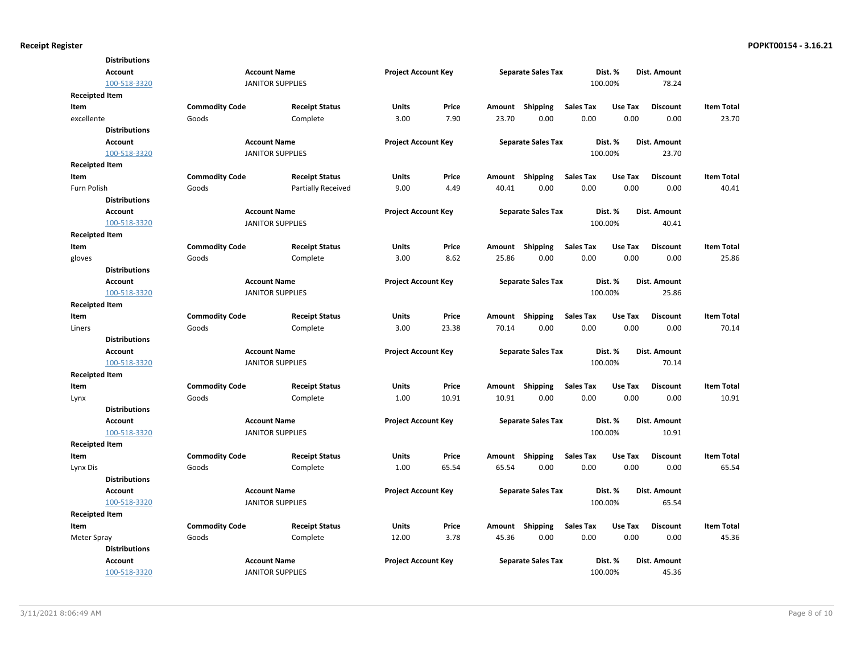|                       | <b>Distributions</b> |                       |                         |                            |       |        |                           |                  |         |                 |                   |
|-----------------------|----------------------|-----------------------|-------------------------|----------------------------|-------|--------|---------------------------|------------------|---------|-----------------|-------------------|
|                       | <b>Account</b>       |                       | <b>Account Name</b>     | <b>Project Account Key</b> |       |        | <b>Separate Sales Tax</b> |                  | Dist. % | Dist. Amount    |                   |
|                       | 100-518-3320         |                       | <b>JANITOR SUPPLIES</b> |                            |       |        |                           |                  | 100.00% | 78.24           |                   |
| <b>Receipted Item</b> |                      |                       |                         |                            |       |        |                           |                  |         |                 |                   |
| Item                  |                      | <b>Commodity Code</b> | <b>Receipt Status</b>   | Units                      | Price | Amount | Shipping                  | <b>Sales Tax</b> | Use Tax | <b>Discount</b> | <b>Item Total</b> |
| excellente            |                      | Goods                 | Complete                | 3.00                       | 7.90  | 23.70  | 0.00                      | 0.00             | 0.00    | 0.00            | 23.70             |
|                       | <b>Distributions</b> |                       |                         |                            |       |        |                           |                  |         |                 |                   |
|                       | <b>Account</b>       |                       | <b>Account Name</b>     | <b>Project Account Key</b> |       |        | <b>Separate Sales Tax</b> |                  | Dist. % | Dist. Amount    |                   |
|                       | 100-518-3320         |                       | <b>JANITOR SUPPLIES</b> |                            |       |        |                           |                  | 100.00% | 23.70           |                   |
| <b>Receipted Item</b> |                      |                       |                         |                            |       |        |                           |                  |         |                 |                   |
| Item                  |                      | <b>Commodity Code</b> | <b>Receipt Status</b>   | Units                      | Price | Amount | Shipping                  | <b>Sales Tax</b> | Use Tax | <b>Discount</b> | <b>Item Total</b> |
| Furn Polish           |                      | Goods                 | Partially Received      | 9.00                       | 4.49  | 40.41  | 0.00                      | 0.00             | 0.00    | 0.00            | 40.41             |
|                       | <b>Distributions</b> |                       |                         |                            |       |        |                           |                  |         |                 |                   |
|                       | <b>Account</b>       |                       | <b>Account Name</b>     | <b>Project Account Key</b> |       |        | <b>Separate Sales Tax</b> |                  | Dist. % | Dist. Amount    |                   |
|                       | 100-518-3320         |                       | <b>JANITOR SUPPLIES</b> |                            |       |        |                           |                  | 100.00% | 40.41           |                   |
| <b>Receipted Item</b> |                      |                       |                         |                            |       |        |                           |                  |         |                 |                   |
| Item                  |                      | <b>Commodity Code</b> | <b>Receipt Status</b>   | Units                      | Price | Amount | Shipping                  | <b>Sales Tax</b> | Use Tax | <b>Discount</b> | <b>Item Total</b> |
| gloves                |                      | Goods                 | Complete                | 3.00                       | 8.62  | 25.86  | 0.00                      | 0.00             | 0.00    | 0.00            | 25.86             |
|                       | <b>Distributions</b> |                       |                         |                            |       |        |                           |                  |         |                 |                   |
|                       | <b>Account</b>       |                       | <b>Account Name</b>     | <b>Project Account Key</b> |       |        | <b>Separate Sales Tax</b> |                  | Dist. % | Dist. Amount    |                   |
|                       | 100-518-3320         |                       | <b>JANITOR SUPPLIES</b> |                            |       |        |                           |                  | 100.00% | 25.86           |                   |
| <b>Receipted Item</b> |                      |                       |                         |                            |       |        |                           |                  |         |                 |                   |
| Item                  |                      | <b>Commodity Code</b> | <b>Receipt Status</b>   | Units                      | Price | Amount | Shipping                  | <b>Sales Tax</b> | Use Tax | <b>Discount</b> | <b>Item Total</b> |
| Liners                |                      | Goods                 | Complete                | 3.00                       | 23.38 | 70.14  | 0.00                      | 0.00             | 0.00    | 0.00            | 70.14             |
|                       | <b>Distributions</b> |                       |                         |                            |       |        |                           |                  |         |                 |                   |
|                       | <b>Account</b>       |                       | <b>Account Name</b>     | <b>Project Account Key</b> |       |        | <b>Separate Sales Tax</b> |                  | Dist. % | Dist. Amount    |                   |
|                       | 100-518-3320         |                       | <b>JANITOR SUPPLIES</b> |                            |       |        |                           |                  | 100.00% | 70.14           |                   |
| <b>Receipted Item</b> |                      |                       |                         |                            |       |        |                           |                  |         |                 |                   |
| Item                  |                      | <b>Commodity Code</b> | <b>Receipt Status</b>   | Units                      | Price | Amount | Shipping                  | <b>Sales Tax</b> | Use Tax | <b>Discount</b> | <b>Item Total</b> |
| Lynx                  |                      | Goods                 | Complete                | 1.00                       | 10.91 | 10.91  | 0.00                      | 0.00             | 0.00    | 0.00            | 10.91             |
|                       | <b>Distributions</b> |                       |                         |                            |       |        |                           |                  |         |                 |                   |
|                       | <b>Account</b>       |                       | <b>Account Name</b>     | <b>Project Account Key</b> |       |        | <b>Separate Sales Tax</b> |                  | Dist. % | Dist. Amount    |                   |
|                       | 100-518-3320         |                       | <b>JANITOR SUPPLIES</b> |                            |       |        |                           |                  | 100.00% | 10.91           |                   |
| <b>Receipted Item</b> |                      |                       |                         |                            |       |        |                           |                  |         |                 |                   |
| Item                  |                      | <b>Commodity Code</b> | <b>Receipt Status</b>   | Units                      | Price | Amount | Shipping                  | <b>Sales Tax</b> | Use Tax | <b>Discount</b> | <b>Item Total</b> |
| Lynx Dis              |                      | Goods                 | Complete                | 1.00                       | 65.54 | 65.54  | 0.00                      | 0.00             | 0.00    | 0.00            | 65.54             |
|                       | <b>Distributions</b> |                       |                         |                            |       |        |                           |                  |         |                 |                   |
|                       | <b>Account</b>       |                       | <b>Account Name</b>     | <b>Project Account Key</b> |       |        | <b>Separate Sales Tax</b> |                  | Dist. % | Dist. Amount    |                   |
|                       | 100-518-3320         |                       | <b>JANITOR SUPPLIES</b> |                            |       |        |                           |                  | 100.00% | 65.54           |                   |
| <b>Receipted Item</b> |                      |                       |                         |                            |       |        |                           |                  |         |                 |                   |
| Item                  |                      |                       |                         |                            |       |        |                           |                  |         |                 |                   |
|                       |                      | <b>Commodity Code</b> | <b>Receipt Status</b>   | Units                      | Price | Amount |                           | Sales Tax        | Use Tax | <b>Discount</b> | <b>Item Total</b> |
| Meter Spray           |                      | Goods                 | Complete                | 12.00                      | 3.78  | 45.36  | <b>Shipping</b><br>0.00   | 0.00             | 0.00    | 0.00            | 45.36             |
|                       | <b>Distributions</b> |                       |                         |                            |       |        |                           |                  |         |                 |                   |
|                       | <b>Account</b>       |                       | <b>Account Name</b>     | <b>Project Account Key</b> |       |        | <b>Separate Sales Tax</b> |                  | Dist. % | Dist. Amount    |                   |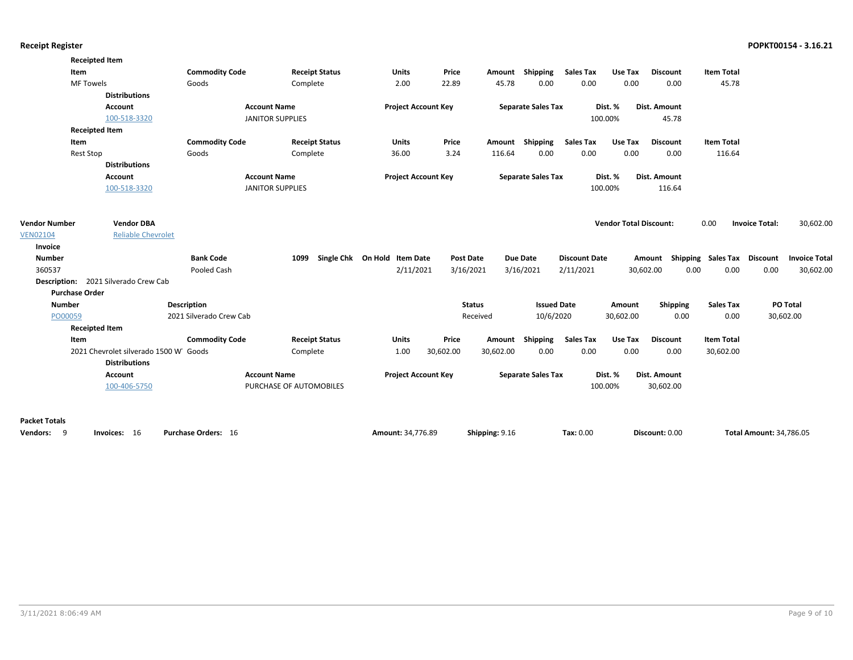|                            | <b>Receipted Item</b>                 |                         |                         |                              |                  |                |                           |                      |                               |                     |                                    |                                |
|----------------------------|---------------------------------------|-------------------------|-------------------------|------------------------------|------------------|----------------|---------------------------|----------------------|-------------------------------|---------------------|------------------------------------|--------------------------------|
| Item                       |                                       | <b>Commodity Code</b>   | <b>Receipt Status</b>   | Units                        | Price            | Amount         | Shipping                  | <b>Sales Tax</b>     | Use Tax                       | <b>Discount</b>     | <b>Item Total</b>                  |                                |
|                            | <b>MF Towels</b>                      | Goods                   | Complete                | 2.00                         | 22.89            | 45.78          | 0.00                      | 0.00                 | 0.00                          | 0.00                | 45.78                              |                                |
|                            | <b>Distributions</b>                  |                         |                         |                              |                  |                |                           |                      |                               |                     |                                    |                                |
|                            | Account                               | <b>Account Name</b>     |                         | <b>Project Account Key</b>   |                  |                | <b>Separate Sales Tax</b> |                      | Dist. %                       | <b>Dist. Amount</b> |                                    |                                |
|                            | 100-518-3320                          | <b>JANITOR SUPPLIES</b> |                         |                              |                  |                |                           |                      | 100.00%                       | 45.78               |                                    |                                |
|                            | <b>Receipted Item</b>                 |                         |                         |                              |                  |                |                           |                      |                               |                     |                                    |                                |
| Item                       |                                       | <b>Commodity Code</b>   | <b>Receipt Status</b>   | Units                        | Price            | Amount         | Shipping                  | <b>Sales Tax</b>     | Use Tax                       | <b>Discount</b>     | <b>Item Total</b>                  |                                |
|                            | <b>Rest Stop</b>                      | Goods                   | Complete                | 36.00                        | 3.24             | 116.64         | 0.00                      | 0.00                 | 0.00                          | 0.00                | 116.64                             |                                |
|                            | <b>Distributions</b>                  |                         |                         |                              |                  |                |                           |                      |                               |                     |                                    |                                |
|                            | Account                               | <b>Account Name</b>     |                         | <b>Project Account Key</b>   |                  |                | <b>Separate Sales Tax</b> |                      | Dist. %                       | Dist. Amount        |                                    |                                |
|                            | 100-518-3320                          | <b>JANITOR SUPPLIES</b> |                         |                              |                  |                |                           |                      | 100.00%                       | 116.64              |                                    |                                |
| <b>Vendor Number</b>       | <b>Vendor DBA</b>                     |                         |                         |                              |                  |                |                           |                      | <b>Vendor Total Discount:</b> |                     | 0.00                               | <b>Invoice Total:</b>          |
|                            | <b>Reliable Chevrolet</b>             |                         |                         |                              |                  |                |                           |                      |                               |                     |                                    | 30,602.00                      |
| <b>VEN02104</b><br>Invoice |                                       |                         |                         |                              |                  |                |                           |                      |                               |                     |                                    |                                |
| <b>Number</b>              |                                       | <b>Bank Code</b>        | 1099                    | Single Chk On Hold Item Date | <b>Post Date</b> |                | Due Date                  | <b>Discount Date</b> |                               |                     | Amount Shipping Sales Tax Discount | <b>Invoice Total</b>           |
| 360537                     |                                       | Pooled Cash             |                         | 2/11/2021                    | 3/16/2021        |                | 3/16/2021                 | 2/11/2021            |                               | 30,602.00           | 0.00<br>0.00                       | 0.00<br>30,602.00              |
|                            | Description: 2021 Silverado Crew Cab  |                         |                         |                              |                  |                |                           |                      |                               |                     |                                    |                                |
| <b>Purchase Order</b>      |                                       |                         |                         |                              |                  |                |                           |                      |                               |                     |                                    |                                |
| <b>Number</b>              |                                       | <b>Description</b>      |                         |                              |                  | <b>Status</b>  | <b>Issued Date</b>        |                      | Amount                        | <b>Shipping</b>     | <b>Sales Tax</b>                   | PO Total                       |
| PO00059                    |                                       | 2021 Silverado Crew Cab |                         |                              |                  | Received       | 10/6/2020                 |                      | 30,602.00                     | 0.00                | 0.00                               | 30,602.00                      |
|                            | <b>Receipted Item</b>                 |                         |                         |                              |                  |                |                           |                      |                               |                     |                                    |                                |
| Item                       |                                       | <b>Commodity Code</b>   | <b>Receipt Status</b>   | <b>Units</b>                 | Price            | Amount         | Shipping                  | <b>Sales Tax</b>     | Use Tax                       | <b>Discount</b>     | <b>Item Total</b>                  |                                |
|                            | 2021 Chevrolet silverado 1500 W Goods |                         | Complete                | 1.00                         | 30,602.00        | 30,602.00      | 0.00                      | 0.00                 | 0.00                          | 0.00                | 30,602.00                          |                                |
|                            | <b>Distributions</b>                  |                         |                         |                              |                  |                |                           |                      |                               |                     |                                    |                                |
|                            | Account                               | <b>Account Name</b>     |                         | <b>Project Account Key</b>   |                  |                | <b>Separate Sales Tax</b> |                      | Dist. %                       | Dist. Amount        |                                    |                                |
|                            | 100-406-5750                          |                         | PURCHASE OF AUTOMOBILES |                              |                  |                |                           |                      | 100.00%                       | 30,602.00           |                                    |                                |
| <b>Packet Totals</b>       |                                       |                         |                         |                              |                  |                |                           |                      |                               |                     |                                    |                                |
| 9<br>Vendors:              | Invoices: 16                          | Purchase Orders: 16     |                         | Amount: 34,776.89            |                  | Shipping: 9.16 |                           | Tax: 0.00            |                               | Discount: 0.00      |                                    | <b>Total Amount: 34.786.05</b> |
|                            |                                       |                         |                         |                              |                  |                |                           |                      |                               |                     |                                    |                                |